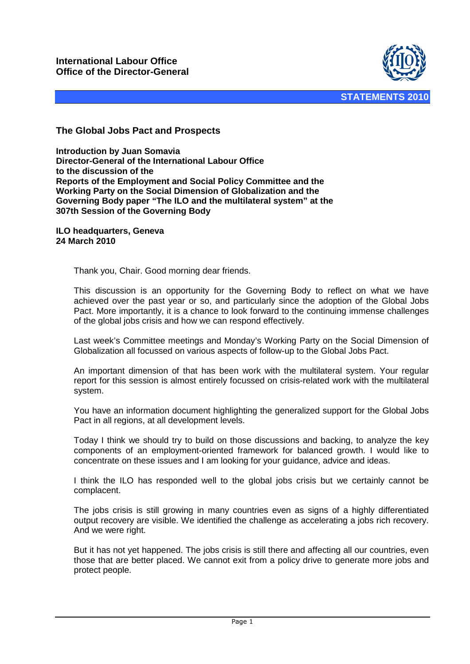

## **The Global Jobs Pact and Prospects**

**Introduction by Juan Somavia Director-General of the International Labour Office to the discussion of the Reports of the Employment and Social Policy Committee and the Working Party on the Social Dimension of Globalization and the Governing Body paper "The ILO and the multilateral system" at the 307th Session of the Governing Body** 

**ILO headquarters, Geneva 24 March 2010** 

Thank you, Chair. Good morning dear friends.

This discussion is an opportunity for the Governing Body to reflect on what we have achieved over the past year or so, and particularly since the adoption of the Global Jobs Pact. More importantly, it is a chance to look forward to the continuing immense challenges of the global jobs crisis and how we can respond effectively.

Last week's Committee meetings and Monday's Working Party on the Social Dimension of Globalization all focussed on various aspects of follow-up to the Global Jobs Pact.

An important dimension of that has been work with the multilateral system. Your regular report for this session is almost entirely focussed on crisis-related work with the multilateral system.

You have an information document highlighting the generalized support for the Global Jobs Pact in all regions, at all development levels.

Today I think we should try to build on those discussions and backing, to analyze the key components of an employment-oriented framework for balanced growth. I would like to concentrate on these issues and I am looking for your guidance, advice and ideas.

I think the ILO has responded well to the global jobs crisis but we certainly cannot be complacent.

The jobs crisis is still growing in many countries even as signs of a highly differentiated output recovery are visible. We identified the challenge as accelerating a jobs rich recovery. And we were right.

But it has not yet happened. The jobs crisis is still there and affecting all our countries, even those that are better placed. We cannot exit from a policy drive to generate more jobs and protect people.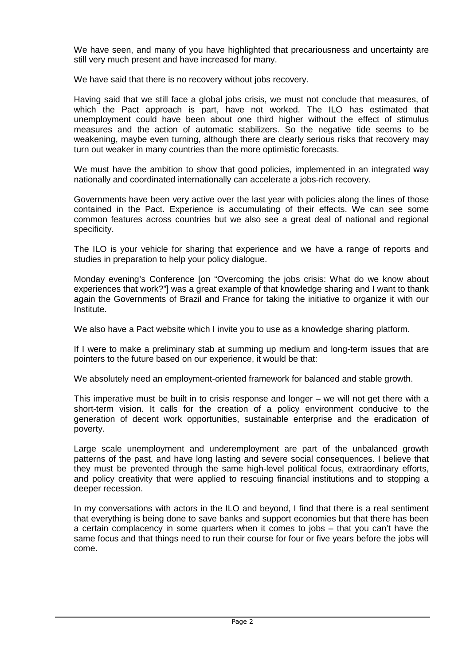We have seen, and many of you have highlighted that precariousness and uncertainty are still very much present and have increased for many.

We have said that there is no recovery without jobs recovery.

Having said that we still face a global jobs crisis, we must not conclude that measures, of which the Pact approach is part, have not worked. The ILO has estimated that unemployment could have been about one third higher without the effect of stimulus measures and the action of automatic stabilizers. So the negative tide seems to be weakening, maybe even turning, although there are clearly serious risks that recovery may turn out weaker in many countries than the more optimistic forecasts.

We must have the ambition to show that good policies, implemented in an integrated way nationally and coordinated internationally can accelerate a jobs-rich recovery.

Governments have been very active over the last year with policies along the lines of those contained in the Pact. Experience is accumulating of their effects. We can see some common features across countries but we also see a great deal of national and regional specificity.

The ILO is your vehicle for sharing that experience and we have a range of reports and studies in preparation to help your policy dialogue.

Monday evening's Conference [on "Overcoming the jobs crisis: What do we know about experiences that work?"] was a great example of that knowledge sharing and I want to thank again the Governments of Brazil and France for taking the initiative to organize it with our Institute.

We also have a Pact website which I invite you to use as a knowledge sharing platform.

If I were to make a preliminary stab at summing up medium and long-term issues that are pointers to the future based on our experience, it would be that:

We absolutely need an employment-oriented framework for balanced and stable growth.

This imperative must be built in to crisis response and longer – we will not get there with a short-term vision. It calls for the creation of a policy environment conducive to the generation of decent work opportunities, sustainable enterprise and the eradication of poverty.

Large scale unemployment and underemployment are part of the unbalanced growth patterns of the past, and have long lasting and severe social consequences. I believe that they must be prevented through the same high-level political focus, extraordinary efforts, and policy creativity that were applied to rescuing financial institutions and to stopping a deeper recession.

In my conversations with actors in the ILO and beyond, I find that there is a real sentiment that everything is being done to save banks and support economies but that there has been a certain complacency in some quarters when it comes to jobs – that you can't have the same focus and that things need to run their course for four or five years before the jobs will come.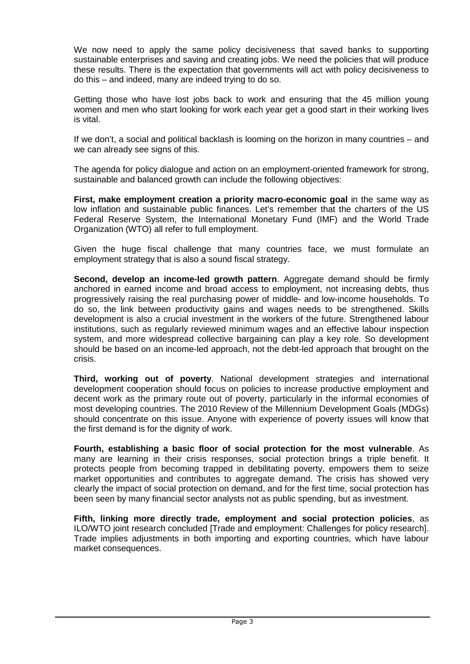We now need to apply the same policy decisiveness that saved banks to supporting sustainable enterprises and saving and creating jobs. We need the policies that will produce these results. There is the expectation that governments will act with policy decisiveness to do this – and indeed, many are indeed trying to do so.

Getting those who have lost jobs back to work and ensuring that the 45 million young women and men who start looking for work each year get a good start in their working lives is vital.

If we don't, a social and political backlash is looming on the horizon in many countries – and we can already see signs of this.

The agenda for policy dialogue and action on an employment-oriented framework for strong, sustainable and balanced growth can include the following objectives:

**First, make employment creation a priority macro-economic goal** in the same way as low inflation and sustainable public finances. Let's remember that the charters of the US Federal Reserve System, the International Monetary Fund (IMF) and the World Trade Organization (WTO) all refer to full employment.

Given the huge fiscal challenge that many countries face, we must formulate an employment strategy that is also a sound fiscal strategy.

**Second, develop an income-led growth pattern**. Aggregate demand should be firmly anchored in earned income and broad access to employment, not increasing debts, thus progressively raising the real purchasing power of middle- and low-income households. To do so, the link between productivity gains and wages needs to be strengthened. Skills development is also a crucial investment in the workers of the future. Strengthened labour institutions, such as regularly reviewed minimum wages and an effective labour inspection system, and more widespread collective bargaining can play a key role. So development should be based on an income-led approach, not the debt-led approach that brought on the crisis.

**Third, working out of poverty**. National development strategies and international development cooperation should focus on policies to increase productive employment and decent work as the primary route out of poverty, particularly in the informal economies of most developing countries. The 2010 Review of the Millennium Development Goals (MDGs) should concentrate on this issue. Anyone with experience of poverty issues will know that the first demand is for the dignity of work.

**Fourth, establishing a basic floor of social protection for the most vulnerable**. As many are learning in their crisis responses, social protection brings a triple benefit. It protects people from becoming trapped in debilitating poverty, empowers them to seize market opportunities and contributes to aggregate demand. The crisis has showed very clearly the impact of social protection on demand, and for the first time, social protection has been seen by many financial sector analysts not as public spending, but as investment.

**Fifth, linking more directly trade, employment and social protection policies**, as ILO/WTO joint research concluded [Trade and employment: Challenges for policy research]. Trade implies adjustments in both importing and exporting countries, which have labour market consequences.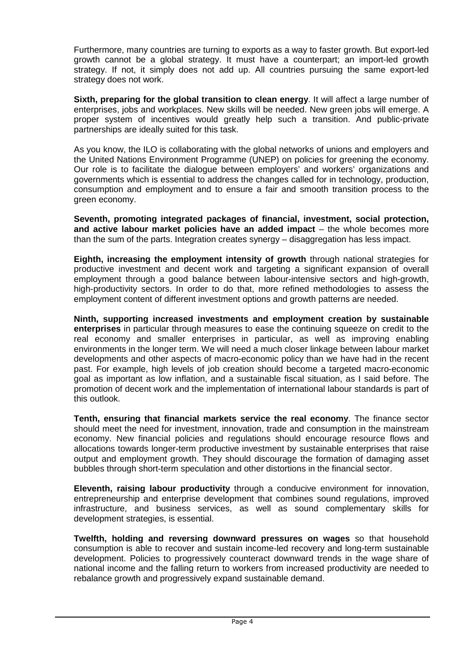Furthermore, many countries are turning to exports as a way to faster growth. But export-led growth cannot be a global strategy. It must have a counterpart; an import-led growth strategy. If not, it simply does not add up. All countries pursuing the same export-led strategy does not work.

**Sixth, preparing for the global transition to clean energy**. It will affect a large number of enterprises, jobs and workplaces. New skills will be needed. New green jobs will emerge. A proper system of incentives would greatly help such a transition. And public-private partnerships are ideally suited for this task.

As you know, the ILO is collaborating with the global networks of unions and employers and the United Nations Environment Programme (UNEP) on policies for greening the economy. Our role is to facilitate the dialogue between employers' and workers' organizations and governments which is essential to address the changes called for in technology, production, consumption and employment and to ensure a fair and smooth transition process to the green economy.

**Seventh, promoting integrated packages of financial, investment, social protection, and active labour market policies have an added impact** – the whole becomes more than the sum of the parts. Integration creates synergy – disaggregation has less impact.

**Eighth, increasing the employment intensity of growth** through national strategies for productive investment and decent work and targeting a significant expansion of overall employment through a good balance between labour-intensive sectors and high-growth, high-productivity sectors. In order to do that, more refined methodologies to assess the employment content of different investment options and growth patterns are needed.

**Ninth, supporting increased investments and employment creation by sustainable enterprises** in particular through measures to ease the continuing squeeze on credit to the real economy and smaller enterprises in particular, as well as improving enabling environments in the longer term. We will need a much closer linkage between labour market developments and other aspects of macro-economic policy than we have had in the recent past. For example, high levels of job creation should become a targeted macro-economic goal as important as low inflation, and a sustainable fiscal situation, as I said before. The promotion of decent work and the implementation of international labour standards is part of this outlook.

**Tenth, ensuring that financial markets service the real economy**. The finance sector should meet the need for investment, innovation, trade and consumption in the mainstream economy. New financial policies and regulations should encourage resource flows and allocations towards longer-term productive investment by sustainable enterprises that raise output and employment growth. They should discourage the formation of damaging asset bubbles through short-term speculation and other distortions in the financial sector.

**Eleventh, raising labour productivity** through a conducive environment for innovation, entrepreneurship and enterprise development that combines sound regulations, improved infrastructure, and business services, as well as sound complementary skills for development strategies, is essential.

**Twelfth, holding and reversing downward pressures on wages** so that household consumption is able to recover and sustain income-led recovery and long-term sustainable development. Policies to progressively counteract downward trends in the wage share of national income and the falling return to workers from increased productivity are needed to rebalance growth and progressively expand sustainable demand.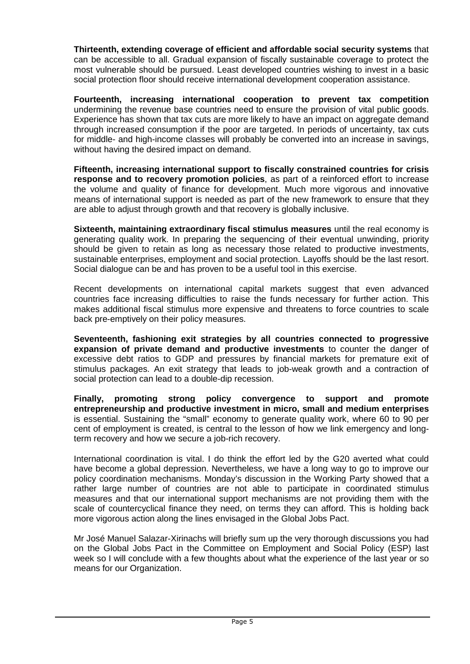**Thirteenth, extending coverage of efficient and affordable social security systems** that can be accessible to all. Gradual expansion of fiscally sustainable coverage to protect the most vulnerable should be pursued. Least developed countries wishing to invest in a basic social protection floor should receive international development cooperation assistance.

**Fourteenth, increasing international cooperation to prevent tax competition** undermining the revenue base countries need to ensure the provision of vital public goods. Experience has shown that tax cuts are more likely to have an impact on aggregate demand through increased consumption if the poor are targeted. In periods of uncertainty, tax cuts for middle- and high-income classes will probably be converted into an increase in savings, without having the desired impact on demand.

**Fifteenth, increasing international support to fiscally constrained countries for crisis response and to recovery promotion policies**, as part of a reinforced effort to increase the volume and quality of finance for development. Much more vigorous and innovative means of international support is needed as part of the new framework to ensure that they are able to adjust through growth and that recovery is globally inclusive.

**Sixteenth, maintaining extraordinary fiscal stimulus measures** until the real economy is generating quality work. In preparing the sequencing of their eventual unwinding, priority should be given to retain as long as necessary those related to productive investments, sustainable enterprises, employment and social protection. Layoffs should be the last resort. Social dialogue can be and has proven to be a useful tool in this exercise.

Recent developments on international capital markets suggest that even advanced countries face increasing difficulties to raise the funds necessary for further action. This makes additional fiscal stimulus more expensive and threatens to force countries to scale back pre-emptively on their policy measures.

**Seventeenth, fashioning exit strategies by all countries connected to progressive expansion of private demand and productive investments** to counter the danger of excessive debt ratios to GDP and pressures by financial markets for premature exit of stimulus packages. An exit strategy that leads to job-weak growth and a contraction of social protection can lead to a double-dip recession.

**Finally, promoting strong policy convergence to support and promote entrepreneurship and productive investment in micro, small and medium enterprises** is essential. Sustaining the "small" economy to generate quality work, where 60 to 90 per cent of employment is created, is central to the lesson of how we link emergency and longterm recovery and how we secure a job-rich recovery.

International coordination is vital. I do think the effort led by the G20 averted what could have become a global depression. Nevertheless, we have a long way to go to improve our policy coordination mechanisms. Monday's discussion in the Working Party showed that a rather large number of countries are not able to participate in coordinated stimulus measures and that our international support mechanisms are not providing them with the scale of countercyclical finance they need, on terms they can afford. This is holding back more vigorous action along the lines envisaged in the Global Jobs Pact.

Mr José Manuel Salazar-Xirinachs will briefly sum up the very thorough discussions you had on the Global Jobs Pact in the Committee on Employment and Social Policy (ESP) last week so I will conclude with a few thoughts about what the experience of the last year or so means for our Organization.